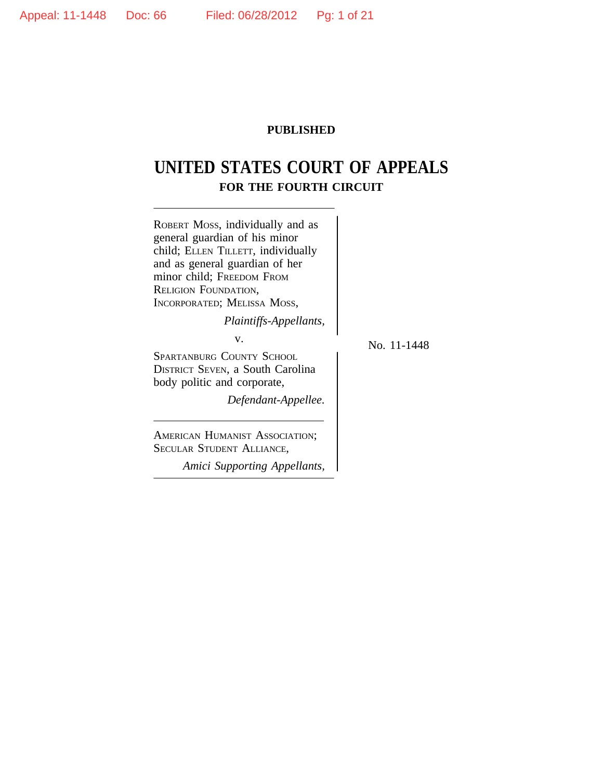## **PUBLISHED**

# **UNITED STATES COURT OF APPEALS FOR THE FOURTH CIRCUIT**

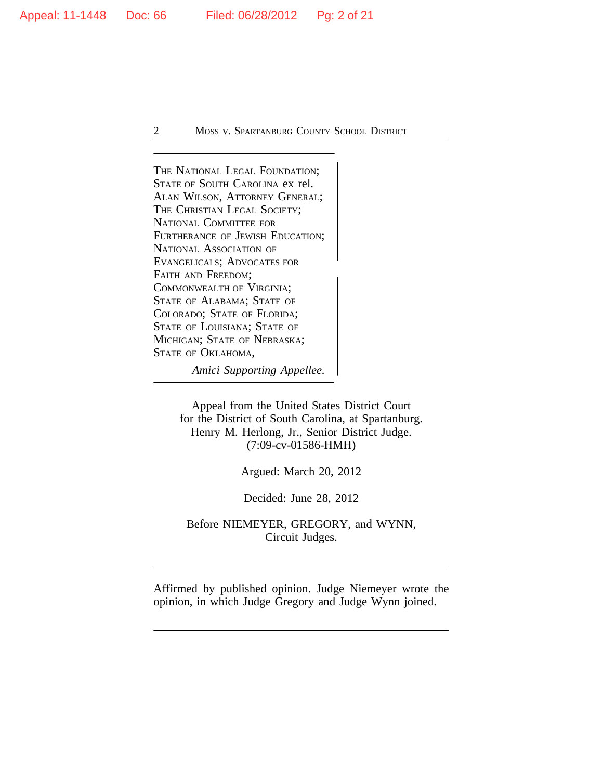THE NATIONAL LEGAL FOUNDATION; STATE OF SOUTH CAROLINA ex rel. ALAN WILSON, ATTORNEY GENERAL; THE CHRISTIAN LEGAL SOCIETY; NATIONAL COMMITTEE FOR FURTHERANCE OF JEWISH EDUCATION; NATIONAL ASSOCIATION OF EVANGELICALS; ADVOCATES FOR <sup>F</sup>AITH AND FREEDOM; COMMONWEALTH OF VIRGINIA; STATE OF ALABAMA; STATE OF COLORADO; STATE OF FLORIDA; STATE OF LOUISIANA; STATE OF MICHIGAN; STATE OF NEBRASKA; STATE OF OKLAHOMA,

*Amici Supporting Appellee.*

Appeal from the United States District Court for the District of South Carolina, at Spartanburg. Henry M. Herlong, Jr., Senior District Judge. (7:09-cv-01586-HMH)

Argued: March 20, 2012

Decided: June 28, 2012

Before NIEMEYER, GREGORY, and WYNN, Circuit Judges.

Affirmed by published opinion. Judge Niemeyer wrote the opinion, in which Judge Gregory and Judge Wynn joined.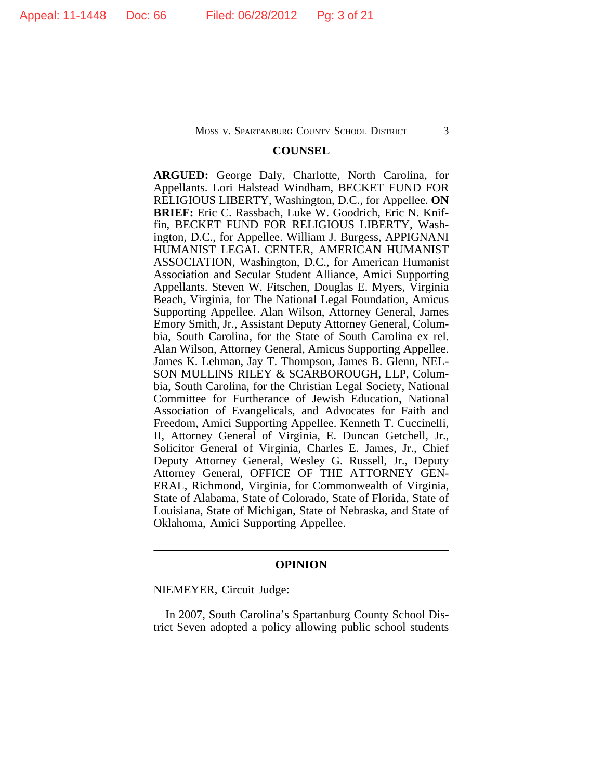## **COUNSEL**

**ARGUED:** George Daly, Charlotte, North Carolina, for Appellants. Lori Halstead Windham, BECKET FUND FOR RELIGIOUS LIBERTY, Washington, D.C., for Appellee. **ON BRIEF:** Eric C. Rassbach, Luke W. Goodrich, Eric N. Kniffin, BECKET FUND FOR RELIGIOUS LIBERTY, Washington, D.C., for Appellee. William J. Burgess, APPIGNANI HUMANIST LEGAL CENTER, AMERICAN HUMANIST ASSOCIATION, Washington, D.C., for American Humanist Association and Secular Student Alliance, Amici Supporting Appellants. Steven W. Fitschen, Douglas E. Myers, Virginia Beach, Virginia, for The National Legal Foundation, Amicus Supporting Appellee. Alan Wilson, Attorney General, James Emory Smith, Jr., Assistant Deputy Attorney General, Columbia, South Carolina, for the State of South Carolina ex rel. Alan Wilson, Attorney General, Amicus Supporting Appellee. James K. Lehman, Jay T. Thompson, James B. Glenn, NEL-SON MULLINS RILEY & SCARBOROUGH, LLP, Columbia, South Carolina, for the Christian Legal Society, National Committee for Furtherance of Jewish Education, National Association of Evangelicals, and Advocates for Faith and Freedom, Amici Supporting Appellee. Kenneth T. Cuccinelli, II, Attorney General of Virginia, E. Duncan Getchell, Jr., Solicitor General of Virginia, Charles E. James, Jr., Chief Deputy Attorney General, Wesley G. Russell, Jr., Deputy Attorney General, OFFICE OF THE ATTORNEY GEN-ERAL, Richmond, Virginia, for Commonwealth of Virginia, State of Alabama, State of Colorado, State of Florida, State of Louisiana, State of Michigan, State of Nebraska, and State of Oklahoma, Amici Supporting Appellee.

## **OPINION**

NIEMEYER, Circuit Judge:

In 2007, South Carolina's Spartanburg County School District Seven adopted a policy allowing public school students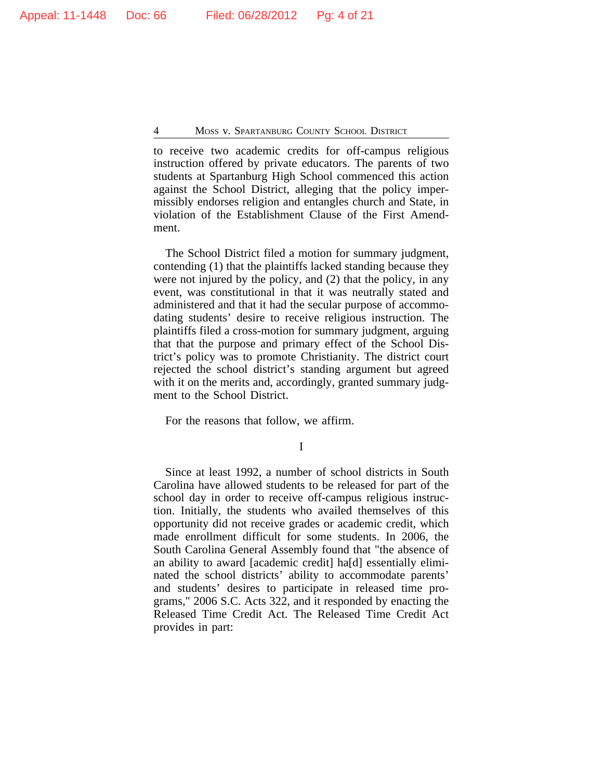to receive two academic credits for off-campus religious instruction offered by private educators. The parents of two students at Spartanburg High School commenced this action against the School District, alleging that the policy impermissibly endorses religion and entangles church and State, in violation of the Establishment Clause of the First Amendment.

The School District filed a motion for summary judgment, contending (1) that the plaintiffs lacked standing because they were not injured by the policy, and (2) that the policy, in any event, was constitutional in that it was neutrally stated and administered and that it had the secular purpose of accommodating students' desire to receive religious instruction. The plaintiffs filed a cross-motion for summary judgment, arguing that that the purpose and primary effect of the School District's policy was to promote Christianity. The district court rejected the school district's standing argument but agreed with it on the merits and, accordingly, granted summary judgment to the School District.

For the reasons that follow, we affirm.

I

Since at least 1992, a number of school districts in South Carolina have allowed students to be released for part of the school day in order to receive off-campus religious instruction. Initially, the students who availed themselves of this opportunity did not receive grades or academic credit, which made enrollment difficult for some students. In 2006, the South Carolina General Assembly found that "the absence of an ability to award [academic credit] ha[d] essentially eliminated the school districts' ability to accommodate parents' and students' desires to participate in released time programs," 2006 S.C. Acts 322, and it responded by enacting the Released Time Credit Act. The Released Time Credit Act provides in part: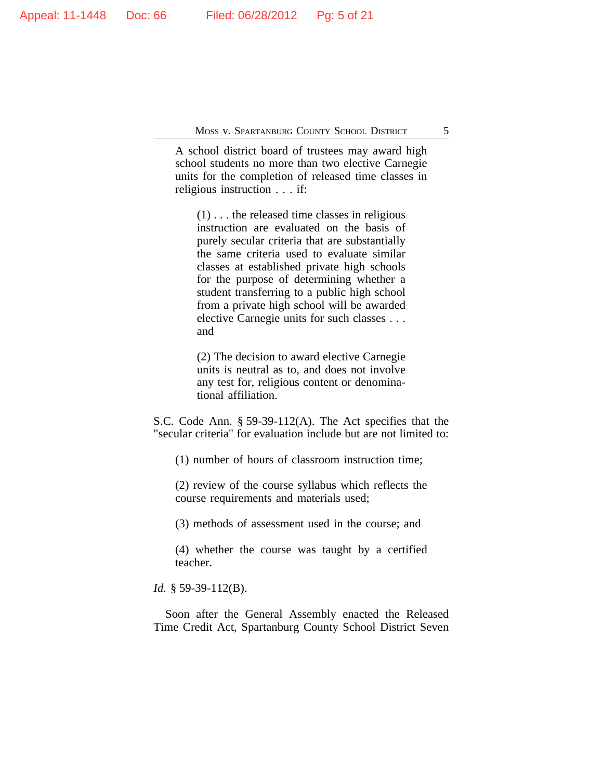A school district board of trustees may award high school students no more than two elective Carnegie units for the completion of released time classes in religious instruction . . . if:

 $(1)$ ... the released time classes in religious instruction are evaluated on the basis of purely secular criteria that are substantially the same criteria used to evaluate similar classes at established private high schools for the purpose of determining whether a student transferring to a public high school from a private high school will be awarded elective Carnegie units for such classes . . . and

(2) The decision to award elective Carnegie units is neutral as to, and does not involve any test for, religious content or denominational affiliation.

S.C. Code Ann. § 59-39-112(A). The Act specifies that the "secular criteria" for evaluation include but are not limited to:

(1) number of hours of classroom instruction time;

(2) review of the course syllabus which reflects the course requirements and materials used;

(3) methods of assessment used in the course; and

(4) whether the course was taught by a certified teacher.

*Id.* § 59-39-112(B).

Soon after the General Assembly enacted the Released Time Credit Act, Spartanburg County School District Seven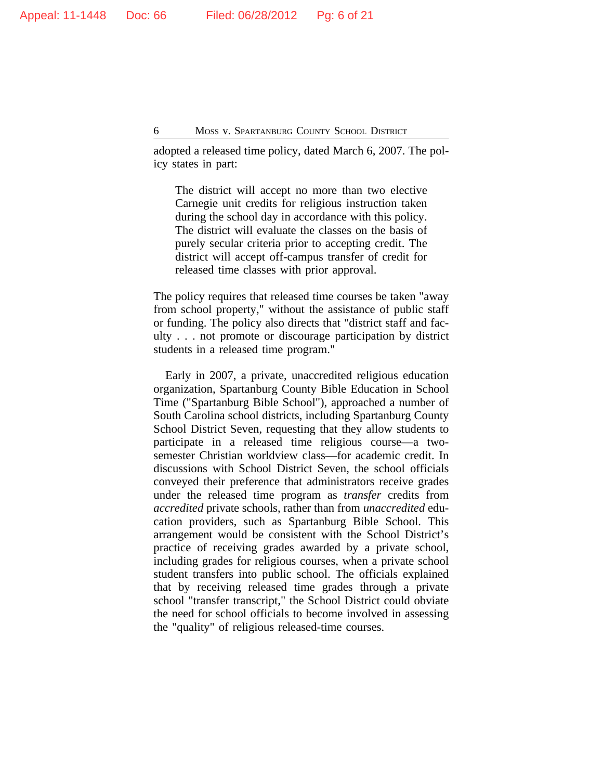adopted a released time policy, dated March 6, 2007. The policy states in part:

The district will accept no more than two elective Carnegie unit credits for religious instruction taken during the school day in accordance with this policy. The district will evaluate the classes on the basis of purely secular criteria prior to accepting credit. The district will accept off-campus transfer of credit for released time classes with prior approval.

The policy requires that released time courses be taken "away from school property," without the assistance of public staff or funding. The policy also directs that "district staff and faculty . . . not promote or discourage participation by district students in a released time program."

Early in 2007, a private, unaccredited religious education organization, Spartanburg County Bible Education in School Time ("Spartanburg Bible School"), approached a number of South Carolina school districts, including Spartanburg County School District Seven, requesting that they allow students to participate in a released time religious course—a twosemester Christian worldview class—for academic credit. In discussions with School District Seven, the school officials conveyed their preference that administrators receive grades under the released time program as *transfer* credits from *accredited* private schools, rather than from *unaccredited* education providers, such as Spartanburg Bible School. This arrangement would be consistent with the School District's practice of receiving grades awarded by a private school, including grades for religious courses, when a private school student transfers into public school. The officials explained that by receiving released time grades through a private school "transfer transcript," the School District could obviate the need for school officials to become involved in assessing the "quality" of religious released-time courses.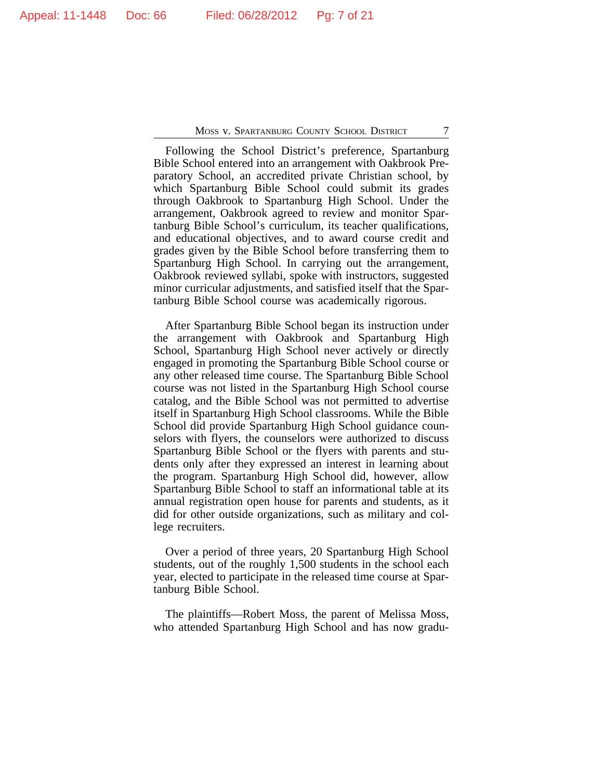Following the School District's preference, Spartanburg Bible School entered into an arrangement with Oakbrook Preparatory School, an accredited private Christian school, by which Spartanburg Bible School could submit its grades through Oakbrook to Spartanburg High School. Under the arrangement, Oakbrook agreed to review and monitor Spartanburg Bible School's curriculum, its teacher qualifications, and educational objectives, and to award course credit and grades given by the Bible School before transferring them to Spartanburg High School. In carrying out the arrangement, Oakbrook reviewed syllabi, spoke with instructors, suggested minor curricular adjustments, and satisfied itself that the Spartanburg Bible School course was academically rigorous.

After Spartanburg Bible School began its instruction under the arrangement with Oakbrook and Spartanburg High School, Spartanburg High School never actively or directly engaged in promoting the Spartanburg Bible School course or any other released time course. The Spartanburg Bible School course was not listed in the Spartanburg High School course catalog, and the Bible School was not permitted to advertise itself in Spartanburg High School classrooms. While the Bible School did provide Spartanburg High School guidance counselors with flyers, the counselors were authorized to discuss Spartanburg Bible School or the flyers with parents and students only after they expressed an interest in learning about the program. Spartanburg High School did, however, allow Spartanburg Bible School to staff an informational table at its annual registration open house for parents and students, as it did for other outside organizations, such as military and college recruiters.

Over a period of three years, 20 Spartanburg High School students, out of the roughly 1,500 students in the school each year, elected to participate in the released time course at Spartanburg Bible School.

The plaintiffs—Robert Moss, the parent of Melissa Moss, who attended Spartanburg High School and has now gradu-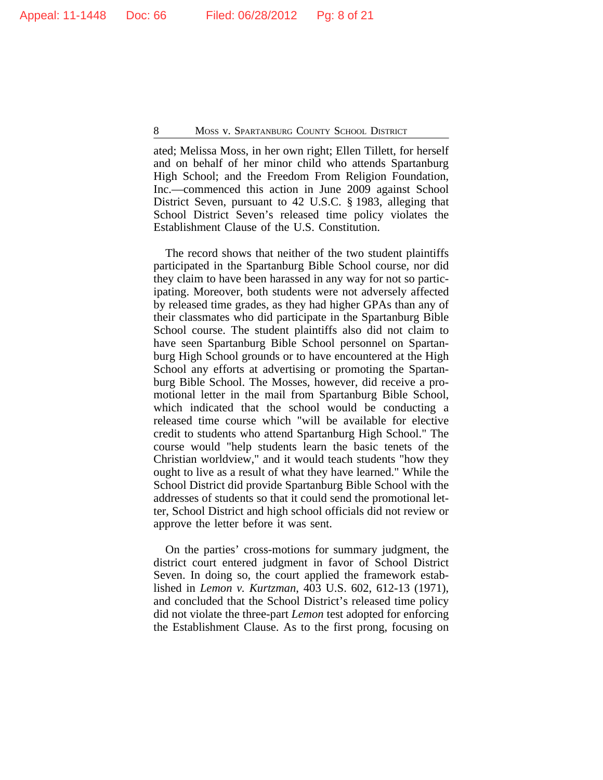ated; Melissa Moss, in her own right; Ellen Tillett, for herself and on behalf of her minor child who attends Spartanburg High School; and the Freedom From Religion Foundation, Inc.—commenced this action in June 2009 against School District Seven, pursuant to 42 U.S.C. § 1983, alleging that School District Seven's released time policy violates the Establishment Clause of the U.S. Constitution.

The record shows that neither of the two student plaintiffs participated in the Spartanburg Bible School course, nor did they claim to have been harassed in any way for not so participating. Moreover, both students were not adversely affected by released time grades, as they had higher GPAs than any of their classmates who did participate in the Spartanburg Bible School course. The student plaintiffs also did not claim to have seen Spartanburg Bible School personnel on Spartanburg High School grounds or to have encountered at the High School any efforts at advertising or promoting the Spartanburg Bible School. The Mosses, however, did receive a promotional letter in the mail from Spartanburg Bible School, which indicated that the school would be conducting a released time course which "will be available for elective credit to students who attend Spartanburg High School." The course would "help students learn the basic tenets of the Christian worldview," and it would teach students "how they ought to live as a result of what they have learned." While the School District did provide Spartanburg Bible School with the addresses of students so that it could send the promotional letter, School District and high school officials did not review or approve the letter before it was sent.

On the parties' cross-motions for summary judgment, the district court entered judgment in favor of School District Seven. In doing so, the court applied the framework established in *Lemon v. Kurtzman*, 403 U.S. 602, 612-13 (1971), and concluded that the School District's released time policy did not violate the three-part *Lemon* test adopted for enforcing the Establishment Clause. As to the first prong, focusing on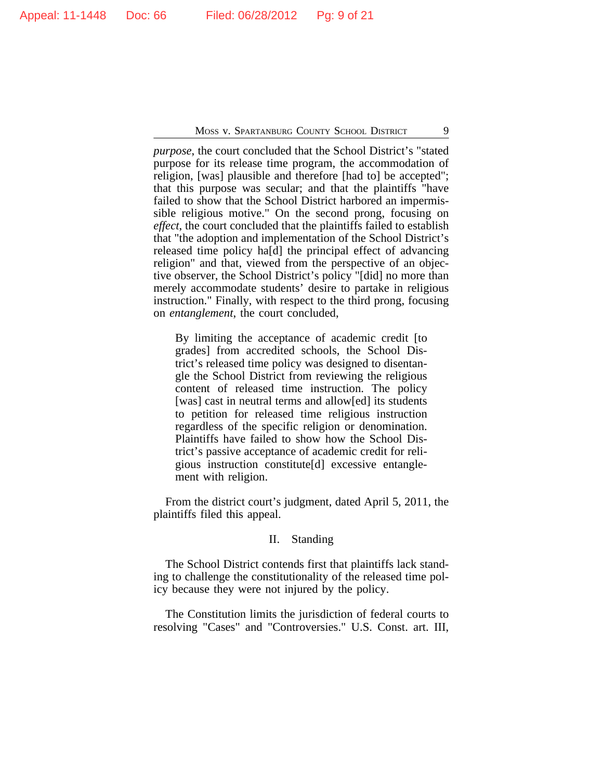*purpose*, the court concluded that the School District's "stated purpose for its release time program, the accommodation of religion, [was] plausible and therefore [had to] be accepted"; that this purpose was secular; and that the plaintiffs "have failed to show that the School District harbored an impermissible religious motive." On the second prong, focusing on *effect*, the court concluded that the plaintiffs failed to establish that "the adoption and implementation of the School District's released time policy ha[d] the principal effect of advancing religion" and that, viewed from the perspective of an objective observer, the School District's policy "[did] no more than merely accommodate students' desire to partake in religious instruction." Finally, with respect to the third prong, focusing on *entanglement*, the court concluded,

By limiting the acceptance of academic credit [to grades] from accredited schools, the School District's released time policy was designed to disentangle the School District from reviewing the religious content of released time instruction. The policy [was] cast in neutral terms and allow[ed] its students to petition for released time religious instruction regardless of the specific religion or denomination. Plaintiffs have failed to show how the School District's passive acceptance of academic credit for religious instruction constitute[d] excessive entanglement with religion.

From the district court's judgment, dated April 5, 2011, the plaintiffs filed this appeal.

## II. Standing

The School District contends first that plaintiffs lack standing to challenge the constitutionality of the released time policy because they were not injured by the policy.

The Constitution limits the jurisdiction of federal courts to resolving "Cases" and "Controversies." U.S. Const. art. III,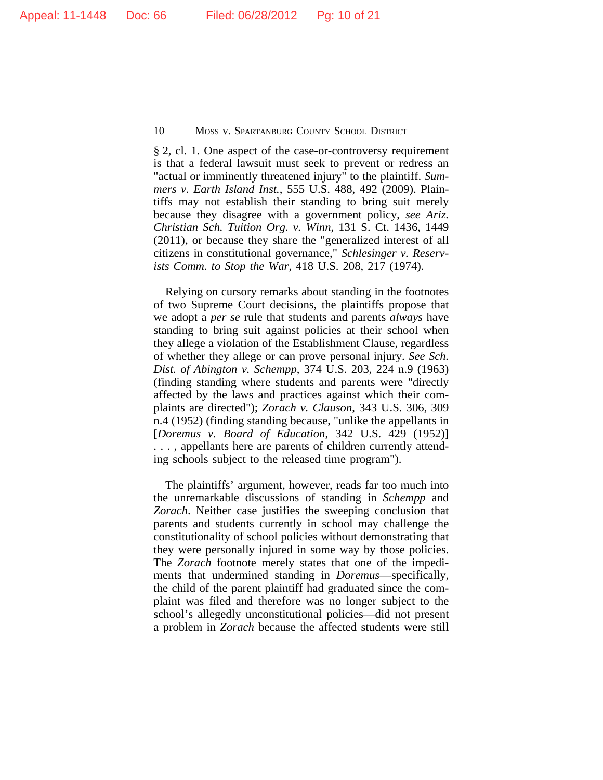§ 2, cl. 1. One aspect of the case-or-controversy requirement is that a federal lawsuit must seek to prevent or redress an "actual or imminently threatened injury" to the plaintiff. *Summers v. Earth Island Inst.*, 555 U.S. 488, 492 (2009). Plaintiffs may not establish their standing to bring suit merely because they disagree with a government policy, *see Ariz. Christian Sch. Tuition Org. v. Winn*, 131 S. Ct. 1436, 1449 (2011), or because they share the "generalized interest of all citizens in constitutional governance," *Schlesinger v. Reservists Comm. to Stop the War*, 418 U.S. 208, 217 (1974).

Relying on cursory remarks about standing in the footnotes of two Supreme Court decisions, the plaintiffs propose that we adopt a *per se* rule that students and parents *always* have standing to bring suit against policies at their school when they allege a violation of the Establishment Clause, regardless of whether they allege or can prove personal injury. *See Sch. Dist. of Abington v. Schempp*, 374 U.S. 203, 224 n.9 (1963) (finding standing where students and parents were "directly affected by the laws and practices against which their complaints are directed"); *Zorach v. Clauson*, 343 U.S. 306, 309 n.4 (1952) (finding standing because, "unlike the appellants in [*Doremus v. Board of Education*, 342 U.S. 429 (1952)] . . . , appellants here are parents of children currently attending schools subject to the released time program").

The plaintiffs' argument, however, reads far too much into the unremarkable discussions of standing in *Schempp* and *Zorach*. Neither case justifies the sweeping conclusion that parents and students currently in school may challenge the constitutionality of school policies without demonstrating that they were personally injured in some way by those policies. The *Zorach* footnote merely states that one of the impediments that undermined standing in *Doremus*—specifically, the child of the parent plaintiff had graduated since the complaint was filed and therefore was no longer subject to the school's allegedly unconstitutional policies—did not present a problem in *Zorach* because the affected students were still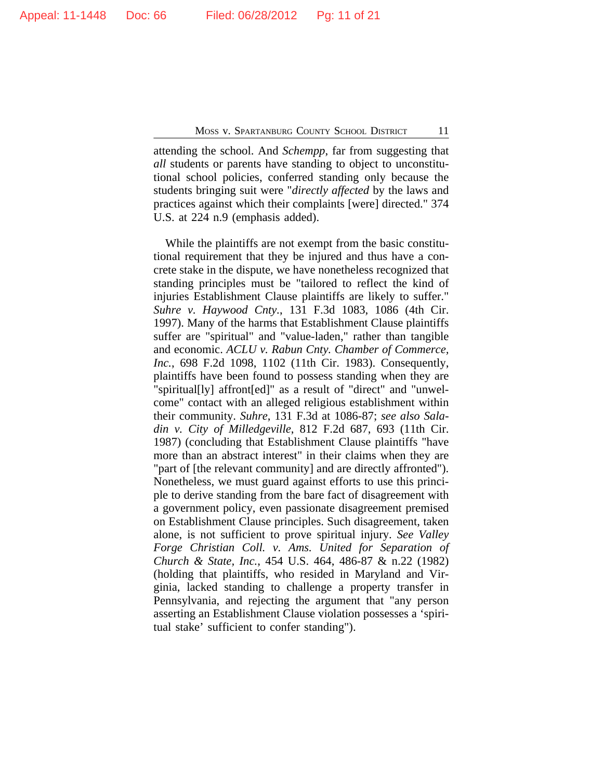attending the school. And *Schempp*, far from suggesting that *all* students or parents have standing to object to unconstitutional school policies, conferred standing only because the students bringing suit were "*directly affected* by the laws and practices against which their complaints [were] directed." 374 U.S. at 224 n.9 (emphasis added).

While the plaintiffs are not exempt from the basic constitutional requirement that they be injured and thus have a concrete stake in the dispute, we have nonetheless recognized that standing principles must be "tailored to reflect the kind of injuries Establishment Clause plaintiffs are likely to suffer." *Suhre v. Haywood Cnty.*, 131 F.3d 1083, 1086 (4th Cir. 1997). Many of the harms that Establishment Clause plaintiffs suffer are "spiritual" and "value-laden," rather than tangible and economic. *ACLU v. Rabun Cnty. Chamber of Commerce, Inc.*, 698 F.2d 1098, 1102 (11th Cir. 1983). Consequently, plaintiffs have been found to possess standing when they are "spiritual[ly] affront[ed]" as a result of "direct" and "unwelcome" contact with an alleged religious establishment within their community. *Suhre*, 131 F.3d at 1086-87; *see also Saladin v. City of Milledgeville*, 812 F.2d 687, 693 (11th Cir. 1987) (concluding that Establishment Clause plaintiffs "have more than an abstract interest" in their claims when they are "part of [the relevant community] and are directly affronted"). Nonetheless, we must guard against efforts to use this principle to derive standing from the bare fact of disagreement with a government policy, even passionate disagreement premised on Establishment Clause principles. Such disagreement, taken alone, is not sufficient to prove spiritual injury. *See Valley Forge Christian Coll. v. Ams. United for Separation of Church & State, Inc.*, 454 U.S. 464, 486-87 & n.22 (1982) (holding that plaintiffs, who resided in Maryland and Virginia, lacked standing to challenge a property transfer in Pennsylvania, and rejecting the argument that "any person asserting an Establishment Clause violation possesses a 'spiritual stake' sufficient to confer standing").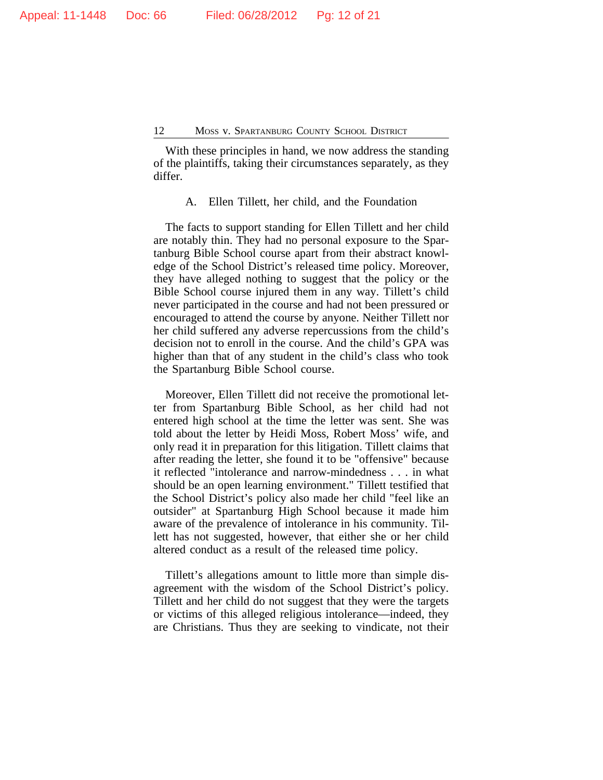With these principles in hand, we now address the standing of the plaintiffs, taking their circumstances separately, as they differ.

A. Ellen Tillett, her child, and the Foundation

The facts to support standing for Ellen Tillett and her child are notably thin. They had no personal exposure to the Spartanburg Bible School course apart from their abstract knowledge of the School District's released time policy. Moreover, they have alleged nothing to suggest that the policy or the Bible School course injured them in any way. Tillett's child never participated in the course and had not been pressured or encouraged to attend the course by anyone. Neither Tillett nor her child suffered any adverse repercussions from the child's decision not to enroll in the course. And the child's GPA was higher than that of any student in the child's class who took the Spartanburg Bible School course.

Moreover, Ellen Tillett did not receive the promotional letter from Spartanburg Bible School, as her child had not entered high school at the time the letter was sent. She was told about the letter by Heidi Moss, Robert Moss' wife, and only read it in preparation for this litigation. Tillett claims that after reading the letter, she found it to be "offensive" because it reflected "intolerance and narrow-mindedness . . . in what should be an open learning environment." Tillett testified that the School District's policy also made her child "feel like an outsider" at Spartanburg High School because it made him aware of the prevalence of intolerance in his community. Tillett has not suggested, however, that either she or her child altered conduct as a result of the released time policy.

Tillett's allegations amount to little more than simple disagreement with the wisdom of the School District's policy. Tillett and her child do not suggest that they were the targets or victims of this alleged religious intolerance—indeed, they are Christians. Thus they are seeking to vindicate, not their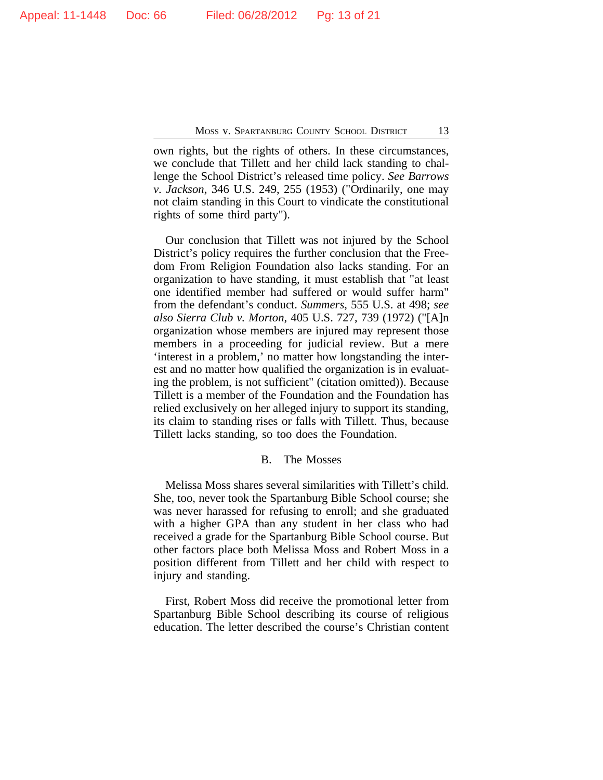own rights, but the rights of others. In these circumstances, we conclude that Tillett and her child lack standing to challenge the School District's released time policy. *See Barrows v. Jackson*, 346 U.S. 249, 255 (1953) ("Ordinarily, one may not claim standing in this Court to vindicate the constitutional rights of some third party").

Our conclusion that Tillett was not injured by the School District's policy requires the further conclusion that the Freedom From Religion Foundation also lacks standing. For an organization to have standing, it must establish that "at least one identified member had suffered or would suffer harm" from the defendant's conduct. *Summers*, 555 U.S. at 498; *see also Sierra Club v. Morton*, 405 U.S. 727, 739 (1972) ("[A]n organization whose members are injured may represent those members in a proceeding for judicial review. But a mere 'interest in a problem,' no matter how longstanding the interest and no matter how qualified the organization is in evaluating the problem, is not sufficient" (citation omitted)). Because Tillett is a member of the Foundation and the Foundation has relied exclusively on her alleged injury to support its standing, its claim to standing rises or falls with Tillett. Thus, because Tillett lacks standing, so too does the Foundation.

## B. The Mosses

Melissa Moss shares several similarities with Tillett's child. She, too, never took the Spartanburg Bible School course; she was never harassed for refusing to enroll; and she graduated with a higher GPA than any student in her class who had received a grade for the Spartanburg Bible School course. But other factors place both Melissa Moss and Robert Moss in a position different from Tillett and her child with respect to injury and standing.

First, Robert Moss did receive the promotional letter from Spartanburg Bible School describing its course of religious education. The letter described the course's Christian content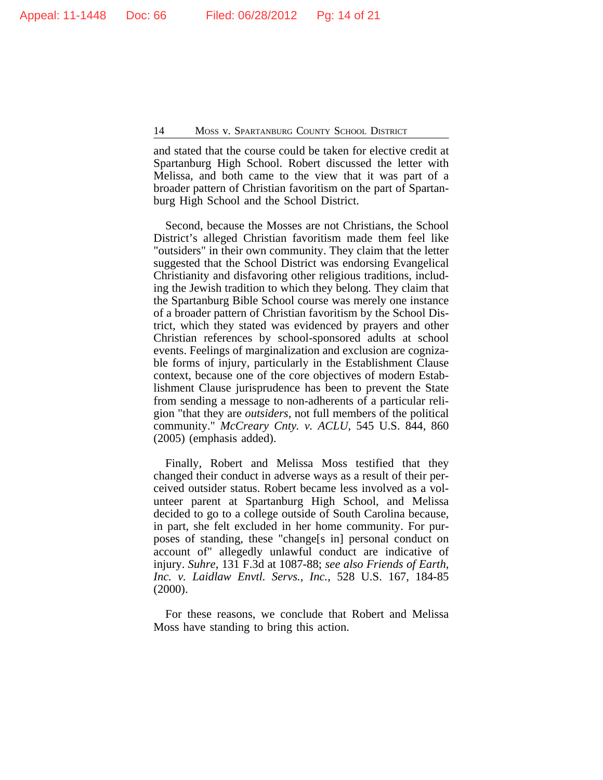and stated that the course could be taken for elective credit at Spartanburg High School. Robert discussed the letter with Melissa, and both came to the view that it was part of a broader pattern of Christian favoritism on the part of Spartanburg High School and the School District.

Second, because the Mosses are not Christians, the School District's alleged Christian favoritism made them feel like "outsiders" in their own community. They claim that the letter suggested that the School District was endorsing Evangelical Christianity and disfavoring other religious traditions, including the Jewish tradition to which they belong. They claim that the Spartanburg Bible School course was merely one instance of a broader pattern of Christian favoritism by the School District, which they stated was evidenced by prayers and other Christian references by school-sponsored adults at school events. Feelings of marginalization and exclusion are cognizable forms of injury, particularly in the Establishment Clause context, because one of the core objectives of modern Establishment Clause jurisprudence has been to prevent the State from sending a message to non-adherents of a particular religion "that they are *outsiders*, not full members of the political community." *McCreary Cnty. v. ACLU*, 545 U.S. 844, 860 (2005) (emphasis added).

Finally, Robert and Melissa Moss testified that they changed their conduct in adverse ways as a result of their perceived outsider status. Robert became less involved as a volunteer parent at Spartanburg High School, and Melissa decided to go to a college outside of South Carolina because, in part, she felt excluded in her home community. For purposes of standing, these "change[s in] personal conduct on account of" allegedly unlawful conduct are indicative of injury. *Suhre*, 131 F.3d at 1087-88; *see also Friends of Earth, Inc. v. Laidlaw Envtl. Servs., Inc.*, 528 U.S. 167, 184-85 (2000).

For these reasons, we conclude that Robert and Melissa Moss have standing to bring this action.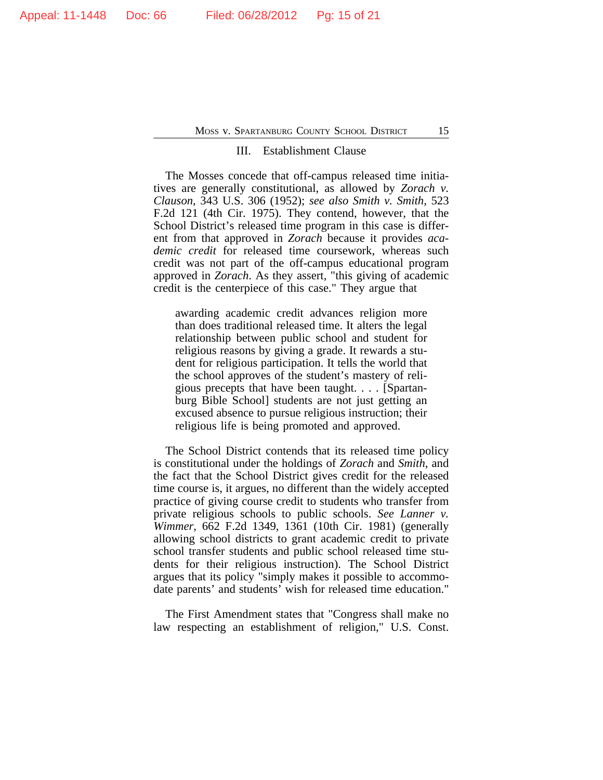#### III. Establishment Clause

The Mosses concede that off-campus released time initiatives are generally constitutional, as allowed by *Zorach v. Clauson*, 343 U.S. 306 (1952); *see also Smith v. Smith*, 523 F.2d 121 (4th Cir. 1975). They contend, however, that the School District's released time program in this case is different from that approved in *Zorach* because it provides *academic credit* for released time coursework, whereas such credit was not part of the off-campus educational program approved in *Zorach*. As they assert, "this giving of academic credit is the centerpiece of this case." They argue that

awarding academic credit advances religion more than does traditional released time. It alters the legal relationship between public school and student for religious reasons by giving a grade. It rewards a student for religious participation. It tells the world that the school approves of the student's mastery of religious precepts that have been taught. . . . [Spartanburg Bible School] students are not just getting an excused absence to pursue religious instruction; their religious life is being promoted and approved.

The School District contends that its released time policy is constitutional under the holdings of *Zorach* and *Smith*, and the fact that the School District gives credit for the released time course is, it argues, no different than the widely accepted practice of giving course credit to students who transfer from private religious schools to public schools. *See Lanner v. Wimmer*, 662 F.2d 1349, 1361 (10th Cir. 1981) (generally allowing school districts to grant academic credit to private school transfer students and public school released time students for their religious instruction). The School District argues that its policy "simply makes it possible to accommodate parents' and students' wish for released time education."

The First Amendment states that "Congress shall make no law respecting an establishment of religion," U.S. Const.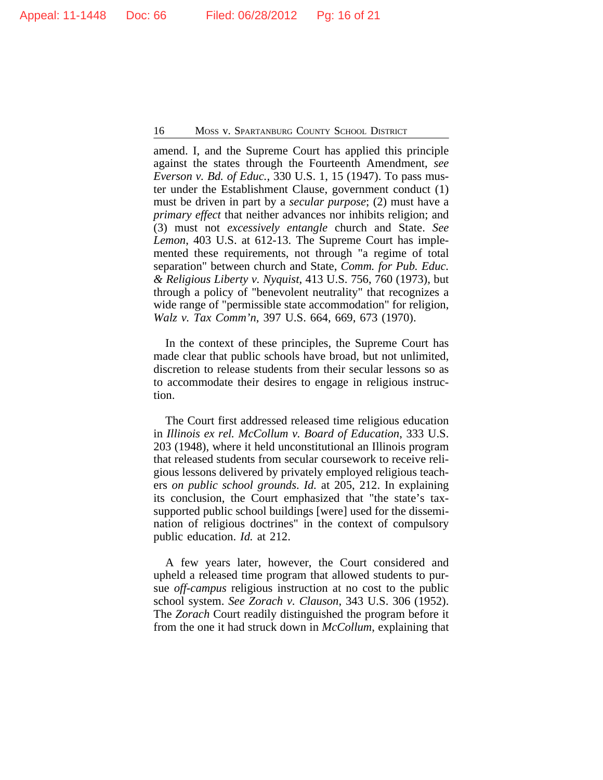amend. I, and the Supreme Court has applied this principle against the states through the Fourteenth Amendment, *see Everson v. Bd. of Educ.*, 330 U.S. 1, 15 (1947). To pass muster under the Establishment Clause, government conduct (1) must be driven in part by a *secular purpose*; (2) must have a *primary effect* that neither advances nor inhibits religion; and (3) must not *excessively entangle* church and State. *See Lemon*, 403 U.S. at 612-13. The Supreme Court has implemented these requirements, not through "a regime of total separation" between church and State, *Comm. for Pub. Educ. & Religious Liberty v. Nyquist*, 413 U.S. 756, 760 (1973), but through a policy of "benevolent neutrality" that recognizes a wide range of "permissible state accommodation" for religion, *Walz v. Tax Comm'n*, 397 U.S. 664, 669, 673 (1970).

In the context of these principles, the Supreme Court has made clear that public schools have broad, but not unlimited, discretion to release students from their secular lessons so as to accommodate their desires to engage in religious instruction.

The Court first addressed released time religious education in *Illinois ex rel. McCollum v. Board of Education*, 333 U.S. 203 (1948), where it held unconstitutional an Illinois program that released students from secular coursework to receive religious lessons delivered by privately employed religious teachers *on public school grounds*. *Id.* at 205, 212. In explaining its conclusion, the Court emphasized that "the state's taxsupported public school buildings [were] used for the dissemination of religious doctrines" in the context of compulsory public education. *Id.* at 212.

A few years later, however, the Court considered and upheld a released time program that allowed students to pursue *off-campus* religious instruction at no cost to the public school system. *See Zorach v. Clauson*, 343 U.S. 306 (1952). The *Zorach* Court readily distinguished the program before it from the one it had struck down in *McCollum*, explaining that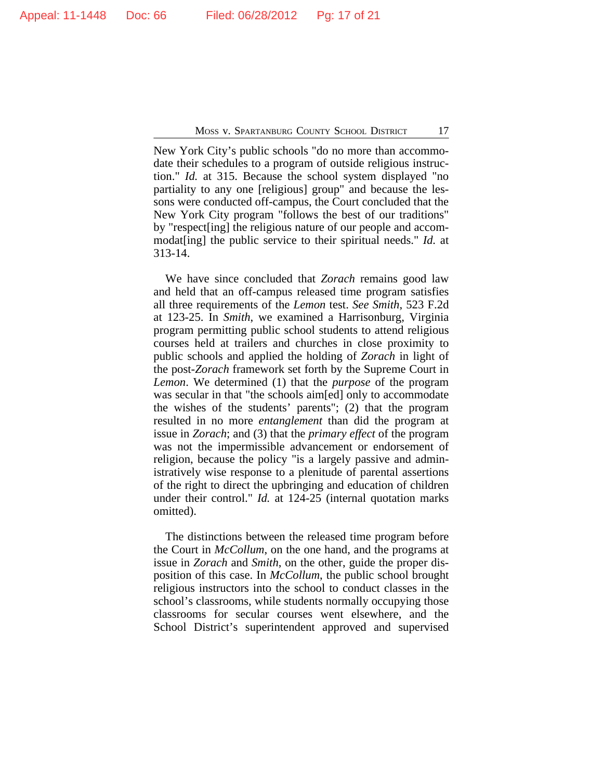New York City's public schools "do no more than accommodate their schedules to a program of outside religious instruction." *Id.* at 315. Because the school system displayed "no partiality to any one [religious] group" and because the lessons were conducted off-campus, the Court concluded that the New York City program "follows the best of our traditions" by "respect[ing] the religious nature of our people and accommodat[ing] the public service to their spiritual needs." *Id.* at 313-14.

We have since concluded that *Zorach* remains good law and held that an off-campus released time program satisfies all three requirements of the *Lemon* test. *See Smith*, 523 F.2d at 123-25. In *Smith*, we examined a Harrisonburg, Virginia program permitting public school students to attend religious courses held at trailers and churches in close proximity to public schools and applied the holding of *Zorach* in light of the post-*Zorach* framework set forth by the Supreme Court in *Lemon*. We determined (1) that the *purpose* of the program was secular in that "the schools aim[ed] only to accommodate the wishes of the students' parents"; (2) that the program resulted in no more *entanglement* than did the program at issue in *Zorach*; and (3) that the *primary effect* of the program was not the impermissible advancement or endorsement of religion, because the policy "is a largely passive and administratively wise response to a plenitude of parental assertions of the right to direct the upbringing and education of children under their control." *Id.* at 124-25 (internal quotation marks omitted).

The distinctions between the released time program before the Court in *McCollum*, on the one hand, and the programs at issue in *Zorach* and *Smith*, on the other, guide the proper disposition of this case. In *McCollum*, the public school brought religious instructors into the school to conduct classes in the school's classrooms, while students normally occupying those classrooms for secular courses went elsewhere, and the School District's superintendent approved and supervised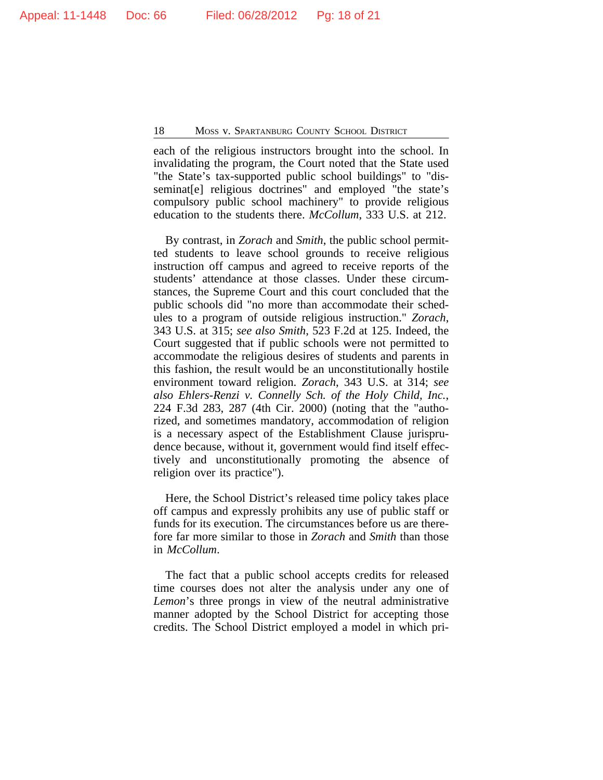each of the religious instructors brought into the school. In invalidating the program, the Court noted that the State used "the State's tax-supported public school buildings" to "disseminat[e] religious doctrines" and employed "the state's compulsory public school machinery" to provide religious education to the students there. *McCollum*, 333 U.S. at 212.

By contrast, in *Zorach* and *Smith*, the public school permitted students to leave school grounds to receive religious instruction off campus and agreed to receive reports of the students' attendance at those classes. Under these circumstances, the Supreme Court and this court concluded that the public schools did "no more than accommodate their schedules to a program of outside religious instruction." *Zorach*, 343 U.S. at 315; *see also Smith*, 523 F.2d at 125. Indeed, the Court suggested that if public schools were not permitted to accommodate the religious desires of students and parents in this fashion, the result would be an unconstitutionally hostile environment toward religion. *Zorach*, 343 U.S. at 314; *see also Ehlers-Renzi v. Connelly Sch. of the Holy Child, Inc.*, 224 F.3d 283, 287 (4th Cir. 2000) (noting that the "authorized, and sometimes mandatory, accommodation of religion is a necessary aspect of the Establishment Clause jurisprudence because, without it, government would find itself effectively and unconstitutionally promoting the absence of religion over its practice").

Here, the School District's released time policy takes place off campus and expressly prohibits any use of public staff or funds for its execution. The circumstances before us are therefore far more similar to those in *Zorach* and *Smith* than those in *McCollum*.

The fact that a public school accepts credits for released time courses does not alter the analysis under any one of *Lemon*'s three prongs in view of the neutral administrative manner adopted by the School District for accepting those credits. The School District employed a model in which pri-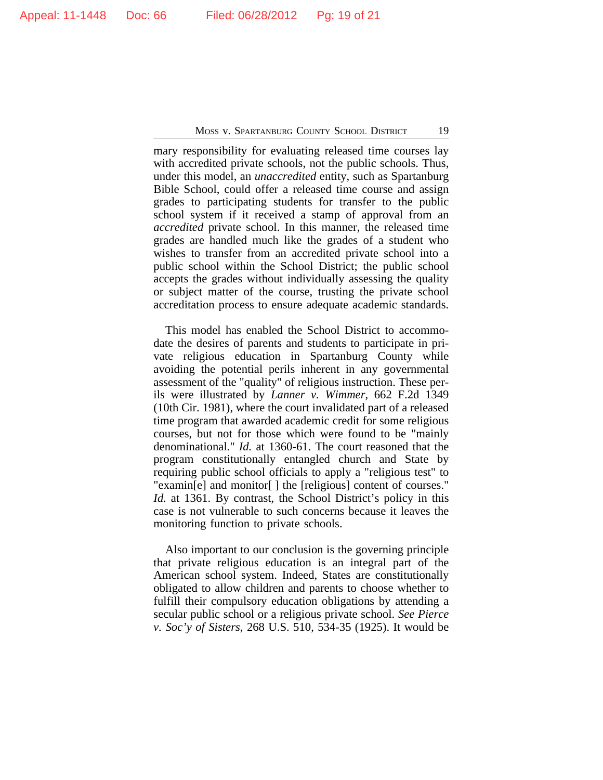mary responsibility for evaluating released time courses lay with accredited private schools, not the public schools. Thus, under this model, an *unaccredited* entity, such as Spartanburg Bible School, could offer a released time course and assign grades to participating students for transfer to the public school system if it received a stamp of approval from an *accredited* private school. In this manner, the released time grades are handled much like the grades of a student who wishes to transfer from an accredited private school into a public school within the School District; the public school accepts the grades without individually assessing the quality or subject matter of the course, trusting the private school accreditation process to ensure adequate academic standards.

This model has enabled the School District to accommodate the desires of parents and students to participate in private religious education in Spartanburg County while avoiding the potential perils inherent in any governmental assessment of the "quality" of religious instruction. These perils were illustrated by *Lanner v. Wimmer*, 662 F.2d 1349 (10th Cir. 1981), where the court invalidated part of a released time program that awarded academic credit for some religious courses, but not for those which were found to be "mainly denominational." *Id.* at 1360-61. The court reasoned that the program constitutionally entangled church and State by requiring public school officials to apply a "religious test" to "examin[e] and monitor[ ] the [religious] content of courses." *Id.* at 1361. By contrast, the School District's policy in this case is not vulnerable to such concerns because it leaves the monitoring function to private schools.

Also important to our conclusion is the governing principle that private religious education is an integral part of the American school system. Indeed, States are constitutionally obligated to allow children and parents to choose whether to fulfill their compulsory education obligations by attending a secular public school or a religious private school. *See Pierce v. Soc'y of Sisters*, 268 U.S. 510, 534-35 (1925). It would be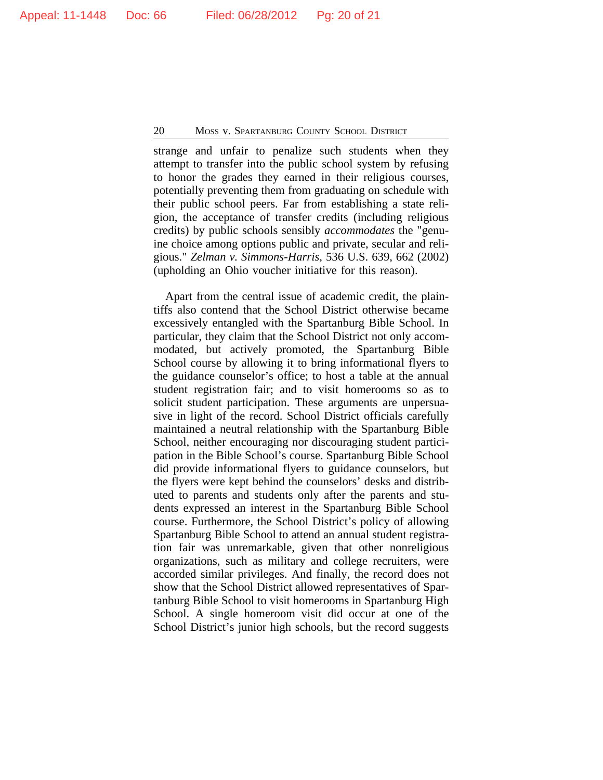strange and unfair to penalize such students when they attempt to transfer into the public school system by refusing to honor the grades they earned in their religious courses, potentially preventing them from graduating on schedule with their public school peers. Far from establishing a state religion, the acceptance of transfer credits (including religious credits) by public schools sensibly *accommodates* the "genuine choice among options public and private, secular and religious." *Zelman v. Simmons-Harris*, 536 U.S. 639, 662 (2002) (upholding an Ohio voucher initiative for this reason).

Apart from the central issue of academic credit, the plaintiffs also contend that the School District otherwise became excessively entangled with the Spartanburg Bible School. In particular, they claim that the School District not only accommodated, but actively promoted, the Spartanburg Bible School course by allowing it to bring informational flyers to the guidance counselor's office; to host a table at the annual student registration fair; and to visit homerooms so as to solicit student participation. These arguments are unpersuasive in light of the record. School District officials carefully maintained a neutral relationship with the Spartanburg Bible School, neither encouraging nor discouraging student participation in the Bible School's course. Spartanburg Bible School did provide informational flyers to guidance counselors, but the flyers were kept behind the counselors' desks and distributed to parents and students only after the parents and students expressed an interest in the Spartanburg Bible School course. Furthermore, the School District's policy of allowing Spartanburg Bible School to attend an annual student registration fair was unremarkable, given that other nonreligious organizations, such as military and college recruiters, were accorded similar privileges. And finally, the record does not show that the School District allowed representatives of Spartanburg Bible School to visit homerooms in Spartanburg High School. A single homeroom visit did occur at one of the School District's junior high schools, but the record suggests